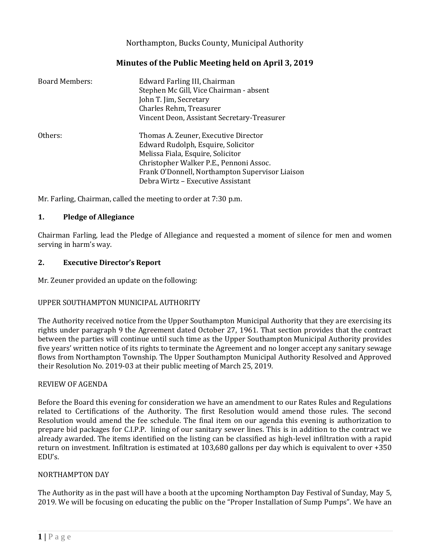Northampton, Bucks County, Municipal Authority

# **Minutes of the Public Meeting held on April 3, 2019**

| Board Members: | Edward Farling III, Chairman<br>Stephen Mc Gill, Vice Chairman - absent<br>John T. Jim, Secretary<br>Charles Rehm, Treasurer<br>Vincent Deon, Assistant Secretary-Treasurer                                                                        |
|----------------|----------------------------------------------------------------------------------------------------------------------------------------------------------------------------------------------------------------------------------------------------|
| Others:        | Thomas A. Zeuner, Executive Director<br>Edward Rudolph, Esquire, Solicitor<br>Melissa Fiala, Esquire, Solicitor<br>Christopher Walker P.E., Pennoni Assoc.<br>Frank O'Donnell, Northampton Supervisor Liaison<br>Debra Wirtz - Executive Assistant |

Mr. Farling, Chairman, called the meeting to order at 7:30 p.m.

### **1. Pledge of Allegiance**

Chairman Farling, lead the Pledge of Allegiance and requested a moment of silence for men and women serving in harm's way.

### **2. Executive Director's Report**

Mr. Zeuner provided an update on the following:

# UPPER SOUTHAMPTON MUNICIPAL AUTHORITY

The Authority received notice from the Upper Southampton Municipal Authority that they are exercising its rights under paragraph 9 the Agreement dated October 27, 1961. That section provides that the contract between the parties will continue until such time as the Upper Southampton Municipal Authority provides five years' written notice of its rights to terminate the Agreement and no longer accept any sanitary sewage flows from Northampton Township. The Upper Southampton Municipal Authority Resolved and Approved their Resolution No. 2019-03 at their public meeting of March 25, 2019.

### REVIEW OF AGENDA

Before the Board this evening for consideration we have an amendment to our Rates Rules and Regulations related to Certifications of the Authority. The first Resolution would amend those rules. The second Resolution would amend the fee schedule. The final item on our agenda this evening is authorization to prepare bid packages for C.I.P.P. lining of our sanitary sewer lines. This is in addition to the contract we already awarded. The items identified on the listing can be classified as high-level infiltration with a rapid return on investment. Infiltration is estimated at 103,680 gallons per day which is equivalent to over +350 EDU's.

### NORTHAMPTON DAY

The Authority as in the past will have a booth at the upcoming Northampton Day Festival of Sunday, May 5, 2019. We will be focusing on educating the public on the "Proper Installation of Sump Pumps". We have an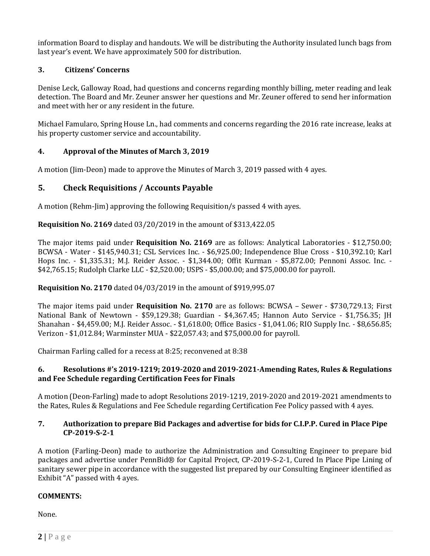information Board to display and handouts. We will be distributing the Authority insulated lunch bags from last year's event. We have approximately 500 for distribution.

### **3. Citizens' Concerns**

Denise Leck, Galloway Road, had questions and concerns regarding monthly billing, meter reading and leak detection. The Board and Mr. Zeuner answer her questions and Mr. Zeuner offered to send her information and meet with her or any resident in the future.

Michael Famularo, Spring House Ln., had comments and concerns regarding the 2016 rate increase, leaks at his property customer service and accountability.

### **4. Approval of the Minutes of March 3, 2019**

A motion (Jim-Deon) made to approve the Minutes of March 3, 2019 passed with 4 ayes.

# **5. Check Requisitions / Accounts Payable**

A motion (Rehm-Jim) approving the following Requisition/s passed 4 with ayes.

**Requisition No. 2169** dated 03/20/2019 in the amount of \$313,422.05

The major items paid under **Requisition No. 2169** are as follows: Analytical Laboratories - \$12,750.00; BCWSA - Water - \$145,940.31; CSL Services Inc. - \$6,925.00; Independence Blue Cross - \$10,392.10; Karl Hops Inc. - \$1,335.31; M.J. Reider Assoc. - \$1,344.00; Offit Kurman - \$5,872.00; Pennoni Assoc. Inc. - \$42,765.15; Rudolph Clarke LLC - \$2,520.00; USPS - \$5,000.00; and \$75,000.00 for payroll.

**Requisition No. 2170** dated 04/03/2019 in the amount of \$919,995.07

The major items paid under **Requisition No. 2170** are as follows: BCWSA – Sewer - \$730,729.13; First National Bank of Newtown - \$59,129.38; Guardian - \$4,367.45; Hannon Auto Service - \$1,756.35; JH Shanahan - \$4,459.00; M.J. Reider Assoc. - \$1,618.00; Office Basics - \$1,041.06; RIO Supply Inc. - \$8,656.85; Verizon - \$1,012.84; Warminster MUA - \$22,057.43; and \$75,000.00 for payroll.

Chairman Farling called for a recess at 8:25; reconvened at 8:38

### **6. Resolutions #'s 2019-1219; 2019-2020 and 2019-2021-Amending Rates, Rules & Regulations and Fee Schedule regarding Certification Fees for Finals**

A motion (Deon-Farling) made to adopt Resolutions 2019-1219, 2019-2020 and 2019-2021 amendments to the Rates, Rules & Regulations and Fee Schedule regarding Certification Fee Policy passed with 4 ayes.

### **7. Authorization to prepare Bid Packages and advertise for bids for C.I.P.P. Cured in Place Pipe CP-2019-S-2-1**

A motion (Farling-Deon) made to authorize the Administration and Consulting Engineer to prepare bid packages and advertise under PennBid® for Capital Project, CP-2019-S-2-1, Cured In Place Pipe Lining of sanitary sewer pipe in accordance with the suggested list prepared by our Consulting Engineer identified as Exhibit "A" passed with 4 ayes.

### **COMMENTS:**

None.